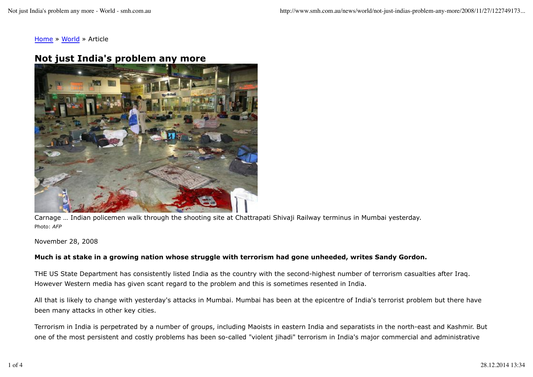Home » World » Article

## **Not just India's problem any more**



Carnage … Indian policemen walk through the shooting site at Chattrapati Shivaji Railway terminus in Mumbai yesterday. Photo: *AFP*

## November 28, 2008

## **Much is at stake in a growing nation whose struggle with terrorism had gone unheeded, writes Sandy Gordon.**

THE US State Department has consistently listed India as the country with the second-highest number of terrorism casualties after Iraq. However Western media has given scant regard to the problem and this is sometimes resented in India.

All that is likely to change with yesterday's attacks in Mumbai. Mumbai has been at the epicentre of India's terrorist problem but there have been many attacks in other key cities.

Terrorism in India is perpetrated by a number of groups, including Maoists in eastern India and separatists in the north-east and Kashmir. But one of the most persistent and costly problems has been so-called "violent jihadi" terrorism in India's major commercial and administrative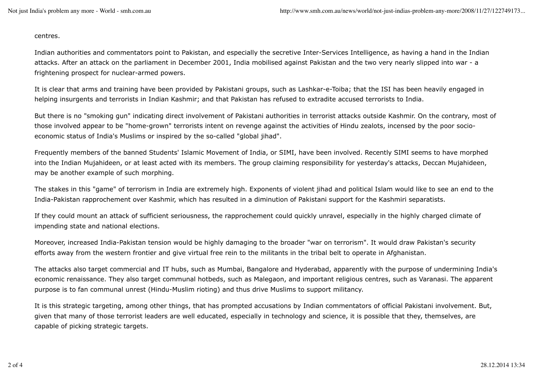centres.

Indian authorities and commentators point to Pakistan, and especially the secretive Inter-Services Intelligence, as having a hand in the Indian attacks. After an attack on the parliament in December 2001, India mobilised against Pakistan and the two very nearly slipped into war - a frightening prospect for nuclear-armed powers.

It is clear that arms and training have been provided by Pakistani groups, such as Lashkar-e-Toiba; that the ISI has been heavily engaged in helping insurgents and terrorists in Indian Kashmir; and that Pakistan has refused to extradite accused terrorists to India.

But there is no "smoking gun" indicating direct involvement of Pakistani authorities in terrorist attacks outside Kashmir. On the contrary, most of those involved appear to be "home-grown" terrorists intent on revenge against the activities of Hindu zealots, incensed by the poor socioeconomic status of India's Muslims or inspired by the so-called "global jihad".

Frequently members of the banned Students' Islamic Movement of India, or SIMI, have been involved. Recently SIMI seems to have morphed into the Indian Mujahideen, or at least acted with its members. The group claiming responsibility for yesterday's attacks, Deccan Mujahideen, may be another example of such morphing.

The stakes in this "game" of terrorism in India are extremely high. Exponents of violent jihad and political Islam would like to see an end to the India-Pakistan rapprochement over Kashmir, which has resulted in a diminution of Pakistani support for the Kashmiri separatists.

If they could mount an attack of sufficient seriousness, the rapprochement could quickly unravel, especially in the highly charged climate of impending state and national elections.

Moreover, increased India-Pakistan tension would be highly damaging to the broader "war on terrorism". It would draw Pakistan's security efforts away from the western frontier and give virtual free rein to the militants in the tribal belt to operate in Afghanistan.

The attacks also target commercial and IT hubs, such as Mumbai, Bangalore and Hyderabad, apparently with the purpose of undermining India's economic renaissance. They also target communal hotbeds, such as Malegaon, and important religious centres, such as Varanasi. The apparent purpose is to fan communal unrest (Hindu-Muslim rioting) and thus drive Muslims to support militancy.

It is this strategic targeting, among other things, that has prompted accusations by Indian commentators of official Pakistani involvement. But, given that many of those terrorist leaders are well educated, especially in technology and science, it is possible that they, themselves, are capable of picking strategic targets.